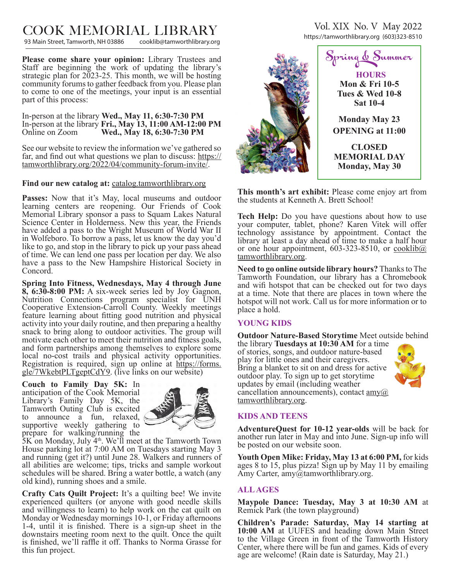# $\text{COOK}$  MEMORIAL LIBRARY<br>93 Main Street, Tamworth, NH 03886 cooklib@tamworthlibrary.org

93 Main Street, Tamworth, NH 03886

**Please come share your opinion:** Library Trustees and Staff are beginning the work of updating the library's strategic plan for 2023-25. This month, we will be hosting community forums to gather feedback from you. Please plan to come to one of the meetings, your input is an essential part of this process:

In-person at the library **Wed., May 11, 6:30-7:30 PM** In-person at the library **Fri., May 13, 11:00 AM-12:00 PM** Online on Zoom **Wed., May 18, 6:30-7:30 PM**

See our website to review the information we've gathered so far, and find out what questions we plan to discuss: https:// tamworthlibrary.org/2022/04/community-forum-invite/.

# **Find our new catalog at:** catalog.tamworthlibrary.org

**Passes:** Now that it's May, local museums and outdoor learning centers are reopening. Our Friends of Cook Memorial Library sponsor a pass to Squam Lakes Natural Science Center in Holderness. New this year, the Friends have added a pass to the Wright Museum of World War II in Wolfeboro. To borrow a pass, let us know the day you'd like to go, and stop in the library to pick up your pass ahead of time. We can lend one pass per location per day. We also have a pass to the New Hampshire Historical Society in Concord.

**Spring Into Fitness, Wednesdays, May 4 through June 8, 6:30-8:00 PM:** A six-week series led by Joy Gagnon, Nutrition Connections program specialist for UNH Cooperative Extension-Carroll County. Weekly meetings feature learning about fitting good nutrition and physical activity into your daily routine, and then preparing a healthy snack to bring along to outdoor activities. The group will motivate each other to meet their nutrition and fitness goals, and form partnerships among themselves to explore some local no-cost trails and physical activity opportunities. Registration is required, sign up online at https://forms. gle/7WkebtPLTgeptCdY9. (live links on our website)

**Couch to Family Day 5K:** In anticipation of the Cook Memorial Library's Family Day 5K, the Tamworth Outing Club is excited to announce a fun, relaxed, supportive weekly gathering to prepare for walking/running the



 $5K$  on Monday, July  $4<sup>th</sup>$ . We'll meet at the Tamworth Town House parking lot at 7:00 AM on Tuesdays starting May 3 and running (get it?) until June 28. Walkers and runners of all abilities are welcome; tips, tricks and sample workout schedules will be shared. Bring a water bottle, a watch (any old kind), running shoes and a smile.

**Crafty Cats Quilt Project:** It's a quilting bee! We invite experienced quilters (or anyone with good needle skills and willingness to learn) to help work on the cat quilt on Monday or Wednesday mornings 10-1, or Friday afternoons 1-4, until it is finished. There is a sign-up sheet in the downstairs meeting room next to the quilt. Once the quilt is finished, we'll raffle it off. Thanks to Norma Grasse for this fun project.

Vol. XIX No. V May 2022 https://tamworthlibrary.org (603)323-8510



**This month's art exhibit:** Please come enjoy art from the students at Kenneth A. Brett School!

**Tech Help:** Do you have questions about how to use your computer, tablet, phone? Karen Vitek will offer technology assistance by appointment. Contact the library at least a day ahead of time to make a half hour or one hour appointment,  $603-323-8510$ , or cooklib $@$ . tamworthlibrary.org.

**Need to go online outside library hours?** Thanks to The Tamworth Foundation, our library has a Chromebook and wifi hotspot that can be checked out for two days at a time. Note that there are places in town where the hotspot will not work. Call us for more information or to place a hold.

#### **YOUNG KIDS**

**Outdoor Nature-Based Storytime** Meet outside behind

the library **Tuesdays at 10:30 AM** for a time of stories, songs, and outdoor nature-based play for little ones and their caregivers. Bring a blanket to sit on and dress for active outdoor play. To sign up to get storytime updates by email (including weather cancellation announcements), contact  $\text{amy}(a)$ tamworthlibrary.org.



## **KIDS AND TEENS**

**AdventureQuest for 10-12 year-olds** will be back for another run later in May and into June. Sign-up info will be posted on our website soon.

**Youth Open Mike: Friday, May 13 at 6:00 PM,** for kids ages 8 to 15, plus pizza! Sign up by May 11 by emailing Amy Carter, amy@tamworthlibrary.org.

#### **ALL AGES**

**Maypole Dance: Tuesday, May 3 at 10:30 AM** at Remick Park (the town playground)

**Children's Parade: Saturday, May 14 starting at 10:00 AM** at UUFES and heading down Main Street to the Village Green in front of the Tamworth History Center, where there will be fun and games. Kids of every age are welcome! (Rain date is Saturday, May 21.)